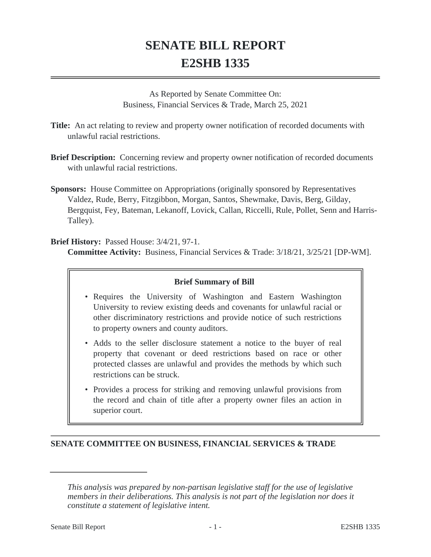## **SENATE BILL REPORT E2SHB 1335**

As Reported by Senate Committee On: Business, Financial Services & Trade, March 25, 2021

- **Title:** An act relating to review and property owner notification of recorded documents with unlawful racial restrictions.
- **Brief Description:** Concerning review and property owner notification of recorded documents with unlawful racial restrictions.
- **Sponsors:** House Committee on Appropriations (originally sponsored by Representatives Valdez, Rude, Berry, Fitzgibbon, Morgan, Santos, Shewmake, Davis, Berg, Gilday, Bergquist, Fey, Bateman, Lekanoff, Lovick, Callan, Riccelli, Rule, Pollet, Senn and Harris-Talley).

**Brief History:** Passed House: 3/4/21, 97-1.

**Committee Activity:** Business, Financial Services & Trade: 3/18/21, 3/25/21 [DP-WM].

## **Brief Summary of Bill**

- Requires the University of Washington and Eastern Washington University to review existing deeds and covenants for unlawful racial or other discriminatory restrictions and provide notice of such restrictions to property owners and county auditors.
- Adds to the seller disclosure statement a notice to the buyer of real property that covenant or deed restrictions based on race or other protected classes are unlawful and provides the methods by which such restrictions can be struck.
- Provides a process for striking and removing unlawful provisions from the record and chain of title after a property owner files an action in superior court.

## **SENATE COMMITTEE ON BUSINESS, FINANCIAL SERVICES & TRADE**

*This analysis was prepared by non-partisan legislative staff for the use of legislative members in their deliberations. This analysis is not part of the legislation nor does it constitute a statement of legislative intent.*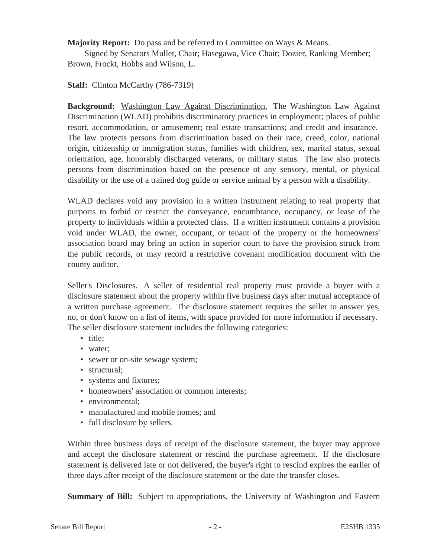**Majority Report:** Do pass and be referred to Committee on Ways & Means.

Signed by Senators Mullet, Chair; Hasegawa, Vice Chair; Dozier, Ranking Member; Brown, Frockt, Hobbs and Wilson, L.

**Staff:** Clinton McCarthy (786-7319)

**Background:** Washington Law Against Discrimination. The Washington Law Against Discrimination (WLAD) prohibits discriminatory practices in employment; places of public resort, accommodation, or amusement; real estate transactions; and credit and insurance. The law protects persons from discrimination based on their race, creed, color, national origin, citizenship or immigration status, families with children, sex, marital status, sexual orientation, age, honorably discharged veterans, or military status. The law also protects persons from discrimination based on the presence of any sensory, mental, or physical disability or the use of a trained dog guide or service animal by a person with a disability.

WLAD declares void any provision in a written instrument relating to real property that purports to forbid or restrict the conveyance, encumbrance, occupancy, or lease of the property to individuals within a protected class. If a written instrument contains a provision void under WLAD, the owner, occupant, or tenant of the property or the homeowners' association board may bring an action in superior court to have the provision struck from the public records, or may record a restrictive covenant modification document with the county auditor.

Seller's Disclosures. A seller of residential real property must provide a buyer with a disclosure statement about the property within five business days after mutual acceptance of a written purchase agreement. The disclosure statement requires the seller to answer yes, no, or don't know on a list of items, with space provided for more information if necessary. The seller disclosure statement includes the following categories:

- title;
- water;
- sewer or on-site sewage system;
- structural;
- systems and fixtures;
- homeowners' association or common interests;
- environmental:
- manufactured and mobile homes: and
- full disclosure by sellers.

Within three business days of receipt of the disclosure statement, the buyer may approve and accept the disclosure statement or rescind the purchase agreement. If the disclosure statement is delivered late or not delivered, the buyer's right to rescind expires the earlier of three days after receipt of the disclosure statement or the date the transfer closes.

**Summary of Bill:** Subject to appropriations, the University of Washington and Eastern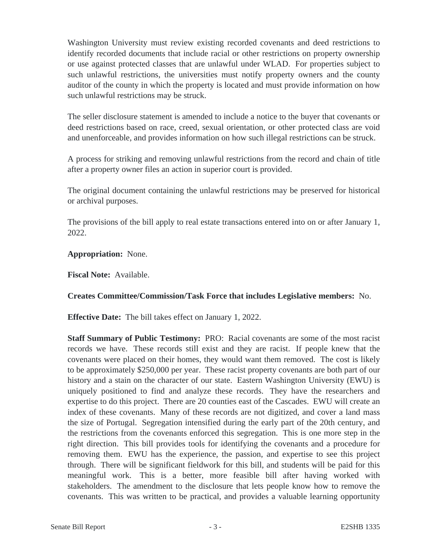Washington University must review existing recorded covenants and deed restrictions to identify recorded documents that include racial or other restrictions on property ownership or use against protected classes that are unlawful under WLAD. For properties subject to such unlawful restrictions, the universities must notify property owners and the county auditor of the county in which the property is located and must provide information on how such unlawful restrictions may be struck.

The seller disclosure statement is amended to include a notice to the buyer that covenants or deed restrictions based on race, creed, sexual orientation, or other protected class are void and unenforceable, and provides information on how such illegal restrictions can be struck.

A process for striking and removing unlawful restrictions from the record and chain of title after a property owner files an action in superior court is provided.

The original document containing the unlawful restrictions may be preserved for historical or archival purposes.

The provisions of the bill apply to real estate transactions entered into on or after January 1, 2022.

**Appropriation:** None.

**Fiscal Note:** Available.

**Creates Committee/Commission/Task Force that includes Legislative members:** No.

**Effective Date:** The bill takes effect on January 1, 2022.

**Staff Summary of Public Testimony:** PRO: Racial covenants are some of the most racist records we have. These records still exist and they are racist. If people knew that the covenants were placed on their homes, they would want them removed. The cost is likely to be approximately \$250,000 per year. These racist property covenants are both part of our history and a stain on the character of our state. Eastern Washington University (EWU) is uniquely positioned to find and analyze these records. They have the researchers and expertise to do this project. There are 20 counties east of the Cascades. EWU will create an index of these covenants. Many of these records are not digitized, and cover a land mass the size of Portugal. Segregation intensified during the early part of the 20th century, and the restrictions from the covenants enforced this segregation. This is one more step in the right direction. This bill provides tools for identifying the covenants and a procedure for removing them. EWU has the experience, the passion, and expertise to see this project through. There will be significant fieldwork for this bill, and students will be paid for this meaningful work. This is a better, more feasible bill after having worked with stakeholders. The amendment to the disclosure that lets people know how to remove the covenants. This was written to be practical, and provides a valuable learning opportunity